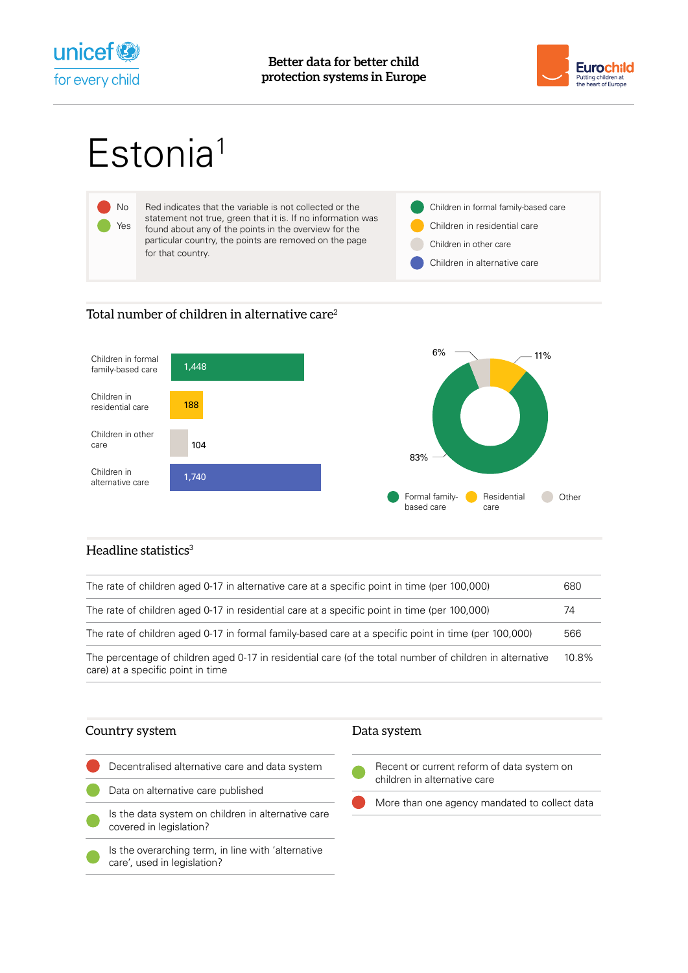



# Estonia<sup>1</sup>



## Total number of children in alternative care<sup>2</sup>



## Headline statistics $3$

| The rate of children aged 0-17 in alternative care at a specific point in time (per 100,000)                                                  | 680   |
|-----------------------------------------------------------------------------------------------------------------------------------------------|-------|
| The rate of children aged 0-17 in residential care at a specific point in time (per 100,000)                                                  | 74    |
| The rate of children aged 0-17 in formal family-based care at a specific point in time (per 100,000)                                          | 566   |
| The percentage of children aged 0-17 in residential care (of the total number of children in alternative<br>care) at a specific point in time | 10.8% |

### Country system

- Decentralised alternative care and data system Data on alternative care published
- Is the data system on children in alternative care covered in legislation?
- Is the overarching term, in line with 'alternative care', used in legislation?
- Recent or current reform of data system on children in alternative care
- More than one agency mandated to collect data